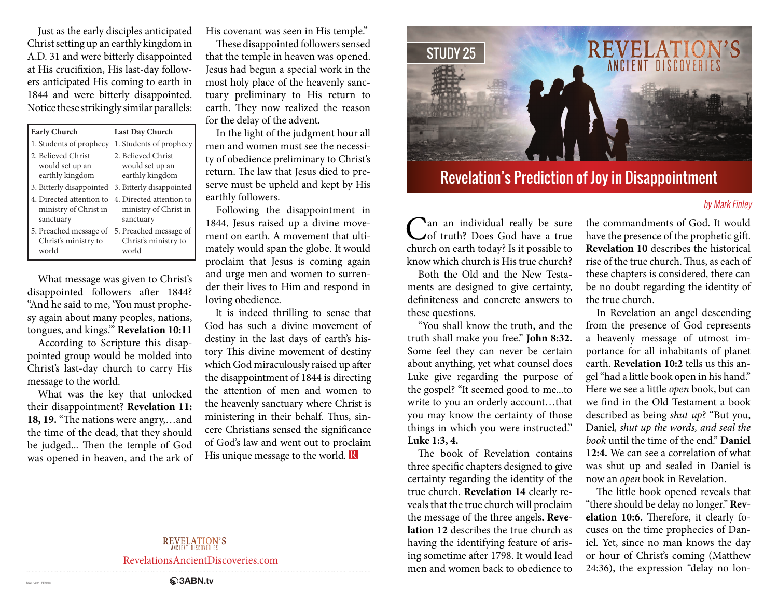Just as the early disciples anticipated Christ setting up an earthly kingdom in A.D. 31 and were bitterly disappointed at His crucifixion, His last-day followers anticipated His coming to earth in 1844 and were bitterly disappointed. Notice these strikingly similar parallels:

| <b>Early Church</b>                                                                     | <b>Last Day Church</b>                                   |
|-----------------------------------------------------------------------------------------|----------------------------------------------------------|
| 1. Students of prophecy                                                                 | 1. Students of prophecy                                  |
| 2. Believed Christ<br>would set up an<br>earthly kingdom                                | 2. Believed Christ<br>would set up an<br>earthly kingdom |
| 3. Bitterly disappointed 3. Bitterly disappointed                                       |                                                          |
| 4. Directed attention to 4. Directed attention to<br>ministry of Christ in<br>sanctuary | ministry of Christ in<br>sanctuary                       |
| 5. Preached message of<br>Christ's ministry to<br>world                                 | 5. Preached message of<br>Christ's ministry to<br>world  |

What message was given to Christ's disappointed followers after 1844? "And he said to me, 'You must prophesy again about many peoples, nations, tongues, and kings.'" **Revelation 10:11**

According to Scripture this disappointed group would be molded into Christ's last-day church to carry His message to the world.

What was the key that unlocked their disappointment? **Revelation 11: 18, 19.** "The nations were angry,…and the time of the dead, that they should be judged... Then the temple of God was opened in heaven, and the ark of His covenant was seen in His temple."

These disappointed followers sensed that the temple in heaven was opened. Jesus had begun a special work in the most holy place of the heavenly sanctuary preliminary to His return to earth. They now realized the reason for the delay of the advent.

In the light of the judgment hour all men and women must see the necessity of obedience preliminary to Christ's return. The law that Jesus died to preserve must be upheld and kept by His earthly followers.

Following the disappointment in 1844, Jesus raised up a divine movement on earth. A movement that ultimately would span the globe. It would proclaim that Jesus is coming again and urge men and women to surrender their lives to Him and respond in loving obedience.

It is indeed thrilling to sense that God has such a divine movement of destiny in the last days of earth's history This divine movement of destiny which God miraculously raised up after the disappointment of 1844 is directing the attention of men and women to the heavenly sanctuary where Christ is ministering in their behalf. Thus, sincere Christians sensed the significance of God's law and went out to proclaim His unique message to the world. **R** 



## Revelation's Prediction of Joy in Disappointment

## by Mark Finley

an an individual really be sure of truth? Does God have a true church on earth today? Is it possible to know which church is His true church?

Both the Old and the New Testaments are designed to give certainty, definiteness and concrete answers to these questions.

"You shall know the truth, and the truth shall make you free." **John 8:32.**  Some feel they can never be certain about anything, yet what counsel does Luke give regarding the purpose of the gospel? "It seemed good to me...to write to you an orderly account…that you may know the certainty of those things in which you were instructed." **Luke 1:3, 4.** 

The book of Revelation contains three specific chapters designed to give certainty regarding the identity of the true church. **Revelation 14** clearly reveals that the true church will proclaim the message of the three angels**. Revelation 12** describes the true church as having the identifying feature of arising sometime after 1798. It would lead men and women back to obedience to

the commandments of God. It would have the presence of the prophetic gift. **Revelation 10** describes the historical rise of the true church. Thus, as each of these chapters is considered, there can be no doubt regarding the identity of the true church.

In Revelation an angel descending from the presence of God represents a heavenly message of utmost importance for all inhabitants of planet earth. **Revelation 10:2** tells us this angel "had a little book open in his hand." Here we see a little *open* book, but can we find in the Old Testament a book described as being *shut up*? "But you, Daniel*, shut up the words, and seal the book* until the time of the end." **Daniel 12:4.** We can see a correlation of what was shut up and sealed in Daniel is now an *open* book in Revelation.

The little book opened reveals that "there should be delay no longer." **Revelation 10:6.** Therefore, it clearly focuses on the time prophecies of Daniel. Yet, since no man knows the day or hour of Christ's coming (Matthew 24:36), the expression "delay no lon-

## **REVELATION'S**

RevelationsAncientDiscoveries.com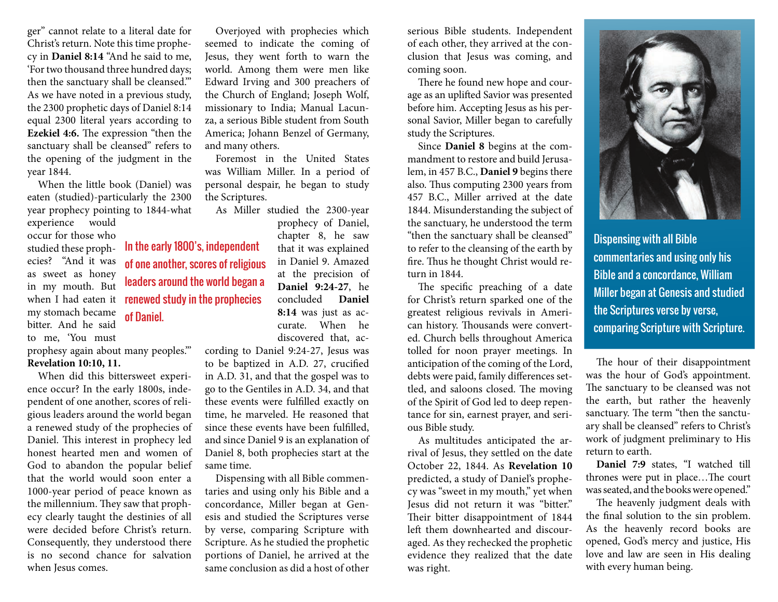ger" cannot relate to a literal date for Christ's return. Note this time prophecy in **Daniel 8:14** "And he said to me, 'For two thousand three hundred days; then the sanctuary shall be cleansed.'" As we have noted in a previous study, the 2300 prophetic days of Daniel 8:14 equal 2300 literal years according to **Ezekiel 4:6.** The expression "then the sanctuary shall be cleansed" refers to the opening of the judgment in the year 1844.

When the little book (Daniel) was eaten (studied)-particularly the 2300 year prophecy pointing to 1844-what

experience would occur for those who studied these prophecies? "And it was as sweet as honey in my mouth. But when I had eaten it my stomach became bitter. And he said to me, 'You must prophesy again about many peoples."'

**Revelation 10:10, 11.**

When did this bittersweet experience occur? In the early 1800s, independent of one another, scores of religious leaders around the world began a renewed study of the prophecies of Daniel. This interest in prophecy led honest hearted men and women of God to abandon the popular belief that the world would soon enter a 1000-year period of peace known as the millennium. They saw that prophecy clearly taught the destinies of all were decided before Christ's return. Consequently, they understood there is no second chance for salvation when Jesus comes.

In the early 1800's, independent of one another, scores of religious leaders around the world began a renewed study in the prophecies of Daniel.

Overjoyed with prophecies which seemed to indicate the coming of Jesus, they went forth to warn the world. Among them were men like Edward Irving and 300 preachers of the Church of England; Joseph Wolf, missionary to India; Manual Lacunza, a serious Bible student from South America; Johann Benzel of Germany, and many others.

Foremost in the United States was William Miller. In a period of personal despair, he began to study the Scriptures.

As Miller studied the 2300-year prophecy of Daniel, chapter 8, he saw that it was explained in Daniel 9. Amazed at the precision of **Daniel 9:24-27**, he concluded **Daniel 8:14** was just as accurate. When he discovered that, ac-

cording to Daniel 9:24-27, Jesus was to be baptized in A.D. 27, crucified in A.D. 31, and that the gospel was to go to the Gentiles in A.D. 34, and that these events were fulfilled exactly on time, he marveled. He reasoned that since these events have been fulfilled, and since Daniel 9 is an explanation of Daniel 8, both prophecies start at the same time.

Dispensing with all Bible commentaries and using only his Bible and a concordance, Miller began at Genesis and studied the Scriptures verse by verse, comparing Scripture with Scripture. As he studied the prophetic portions of Daniel, he arrived at the same conclusion as did a host of other

serious Bible students. Independent of each other, they arrived at the conclusion that Jesus was coming, and coming soon.

There he found new hope and courage as an uplifted Savior was presented before him. Accepting Jesus as his personal Savior, Miller began to carefully study the Scriptures.

Since **Daniel 8** begins at the commandment to restore and build Jerusalem, in 457 B.C., **Daniel 9** begins there also. Thus computing 2300 years from 457 B.C., Miller arrived at the date 1844. Misunderstanding the subject of the sanctuary, he understood the term "then the sanctuary shall be cleansed" to refer to the cleansing of the earth by fire. Thus he thought Christ would return in 1844.

The specific preaching of a date for Christ's return sparked one of the greatest religious revivals in American history. Thousands were converted. Church bells throughout America tolled for noon prayer meetings. In anticipation of the coming of the Lord, debts were paid, family differences settled, and saloons closed. The moving of the Spirit of God led to deep repentance for sin, earnest prayer, and serious Bible study.

As multitudes anticipated the arrival of Jesus, they settled on the date October 22, 1844. As **Revelation 10** predicted, a study of Daniel's prophecy was "sweet in my mouth," yet when Jesus did not return it was "bitter." Their bitter disappointment of 1844 left them downhearted and discouraged. As they rechecked the prophetic evidence they realized that the date was right.



Dispensing with all Bible commentaries and using only his Bible and a concordance, William Miller began at Genesis and studied the Scriptures verse by verse, comparing Scripture with Scripture.

The hour of their disappointment was the hour of God's appointment. The sanctuary to be cleansed was not the earth, but rather the heavenly sanctuary. The term "then the sanctuary shall be cleansed" refers to Christ's work of judgment preliminary to His return to earth.

**Daniel 7:9** states, "I watched till thrones were put in place…The court was seated, and the books were opened."

The heavenly judgment deals with the final solution to the sin problem. As the heavenly record books are opened, God's mercy and justice, His love and law are seen in His dealing with every human being.